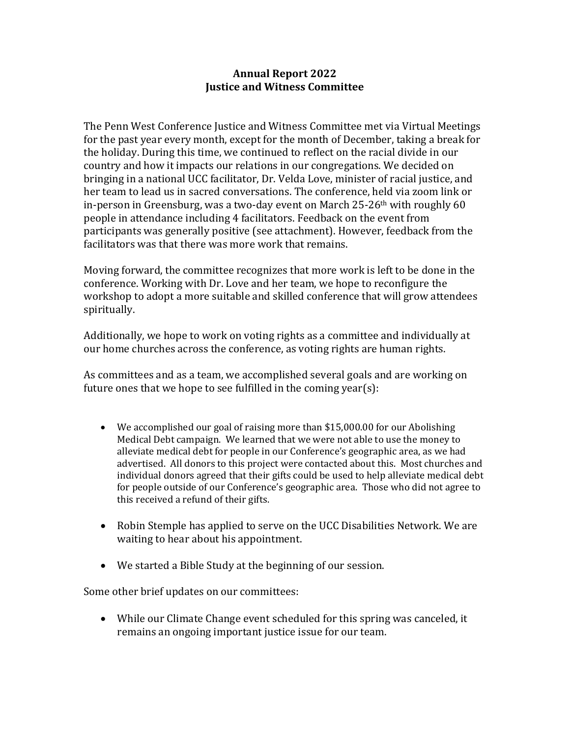## **Annual Report 2022 Justice and Witness Committee**

The Penn West Conference Justice and Witness Committee met via Virtual Meetings for the past year every month, except for the month of December, taking a break for the holiday. During this time, we continued to reflect on the racial divide in our country and how it impacts our relations in our congregations. We decided on bringing in a national UCC facilitator, Dr. Velda Love, minister of racial justice, and her team to lead us in sacred conversations. The conference, held via zoom link or in-person in Greensburg, was a two-day event on March 25-26th with roughly 60 people in attendance including 4 facilitators. Feedback on the event from participants was generally positive (see attachment). However, feedback from the facilitators was that there was more work that remains.

Moving forward, the committee recognizes that more work is left to be done in the conference. Working with Dr. Love and her team, we hope to reconfigure the workshop to adopt a more suitable and skilled conference that will grow attendees spiritually.

Additionally, we hope to work on voting rights as a committee and individually at our home churches across the conference, as voting rights are human rights.

As committees and as a team, we accomplished several goals and are working on future ones that we hope to see fulfilled in the coming year(s):

- We accomplished our goal of raising more than \$15,000.00 for our Abolishing Medical Debt campaign. We learned that we were not able to use the money to alleviate medical debt for people in our Conference's geographic area, as we had advertised. All donors to this project were contacted about this. Most churches and individual donors agreed that their gifts could be used to help alleviate medical debt for people outside of our Conference's geographic area. Those who did not agree to this received a refund of their gifts.
- Robin Stemple has applied to serve on the UCC Disabilities Network. We are waiting to hear about his appointment.
- We started a Bible Study at the beginning of our session.

Some other brief updates on our committees:

 While our Climate Change event scheduled for this spring was canceled, it remains an ongoing important justice issue for our team.